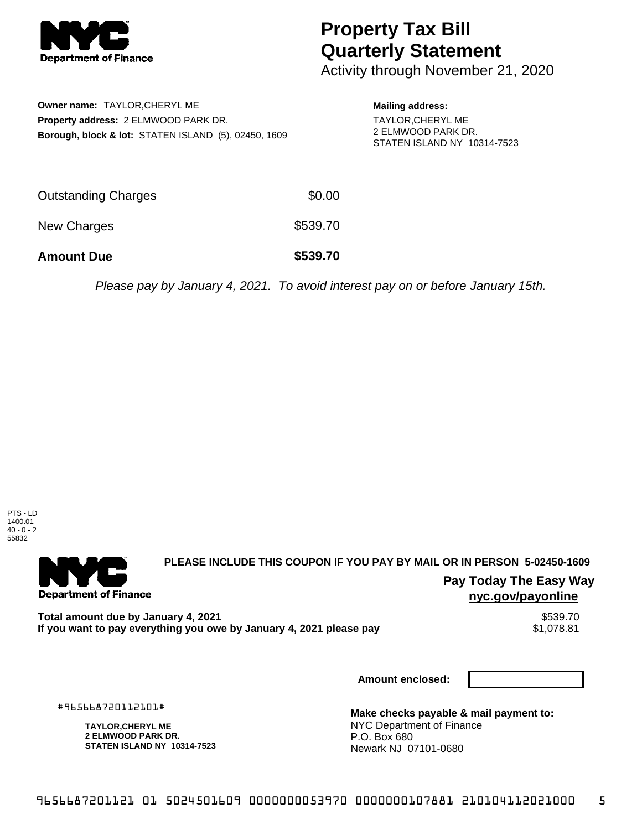

## **Property Tax Bill Quarterly Statement**

Activity through November 21, 2020

| Owner name: TAYLOR, CHERYL ME                                   |
|-----------------------------------------------------------------|
| <b>Property address: 2 ELMWOOD PARK DR.</b>                     |
| <b>Borough, block &amp; lot: STATEN ISLAND (5), 02450, 1609</b> |

**Mailing address:**

TAYLOR,CHERYL ME 2 ELMWOOD PARK DR. STATEN ISLAND NY 10314-7523

| <b>Amount Due</b>   | \$539.70 |
|---------------------|----------|
| New Charges         | \$539.70 |
| Outstanding Charges | \$0.00   |

Please pay by January 4, 2021. To avoid interest pay on or before January 15th.



. . . . . . . . . . . . . . . .

**Department of Finance** 

**PLEASE INCLUDE THIS COUPON IF YOU PAY BY MAIL OR IN PERSON 5-02450-1609** 

**Pay Today The Easy Way nyc.gov/payonline**

Total amount due by January 4, 2021<br>If you want to pay everything you owe by January 4, 2021 please pay **ship in the set of the set of the s**1,078.81 If you want to pay everything you owe by January 4, 2021 please pay

**Amount enclosed:**

#965668720112101#

**TAYLOR,CHERYL ME 2 ELMWOOD PARK DR. STATEN ISLAND NY 10314-7523**

**Make checks payable & mail payment to:** NYC Department of Finance P.O. Box 680 Newark NJ 07101-0680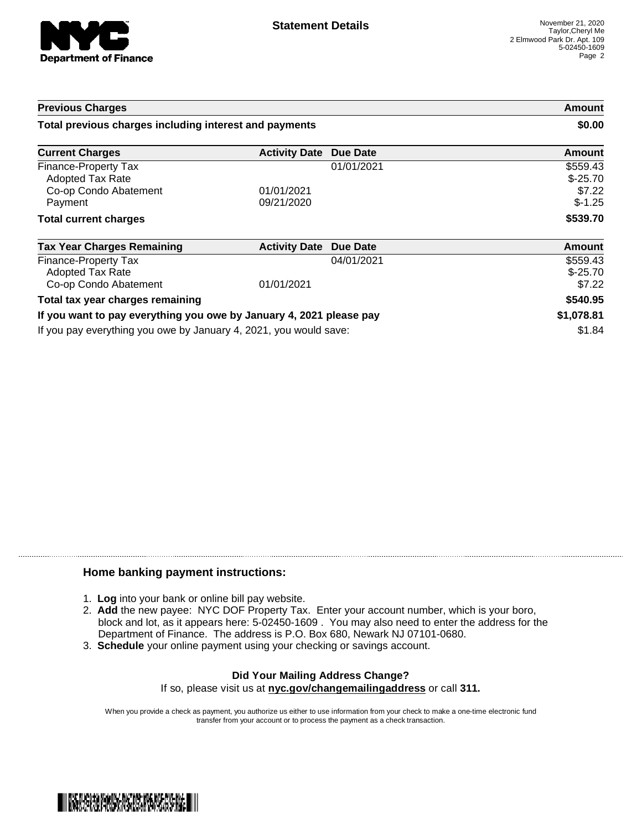

| <b>Previous Charges</b><br>Total previous charges including interest and payments |                               |            | <b>Amount</b><br>\$0.00 |
|-----------------------------------------------------------------------------------|-------------------------------|------------|-------------------------|
|                                                                                   |                               |            |                         |
| Finance-Property Tax                                                              |                               | 01/01/2021 | \$559.43                |
| Adopted Tax Rate                                                                  |                               |            | $$-25.70$               |
| Co-op Condo Abatement                                                             | 01/01/2021                    |            | \$7.22                  |
| Payment                                                                           | 09/21/2020                    |            | $$-1.25$                |
| <b>Total current charges</b>                                                      |                               |            | \$539.70                |
| <b>Tax Year Charges Remaining</b>                                                 | <b>Activity Date Due Date</b> |            | Amount                  |
| Finance-Property Tax                                                              |                               | 04/01/2021 | \$559.43                |
| <b>Adopted Tax Rate</b>                                                           |                               |            | $$ -25.70$              |

| Co-op Condo Abatement                                               | 01/01/2021 | \$7.22     |
|---------------------------------------------------------------------|------------|------------|
| Total tax year charges remaining                                    |            | \$540.95   |
| If you want to pay everything you owe by January 4, 2021 please pay |            | \$1,078.81 |
| If you pay everything you owe by January 4, 2021, you would save:   |            | \$1.84     |

## **Home banking payment instructions:**

- 1. **Log** into your bank or online bill pay website.
- 2. **Add** the new payee: NYC DOF Property Tax. Enter your account number, which is your boro, block and lot, as it appears here: 5-02450-1609 . You may also need to enter the address for the Department of Finance. The address is P.O. Box 680, Newark NJ 07101-0680.
- 3. **Schedule** your online payment using your checking or savings account.

## **Did Your Mailing Address Change?** If so, please visit us at **nyc.gov/changemailingaddress** or call **311.**

When you provide a check as payment, you authorize us either to use information from your check to make a one-time electronic fund transfer from your account or to process the payment as a check transaction.